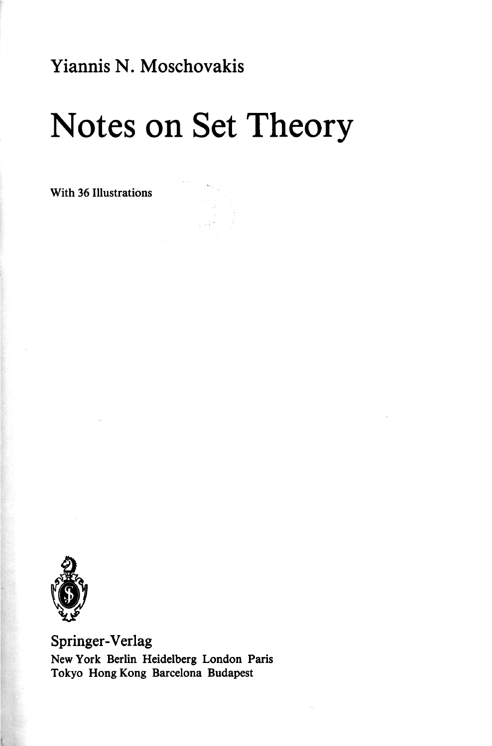Yiannis N. Moschovakis

## Notes on Set Theory

With 36 Illustrations



Springer-Verlag New York Berlin Heidelberg London Paris Tokyo Hong Kong Barcelona Budapest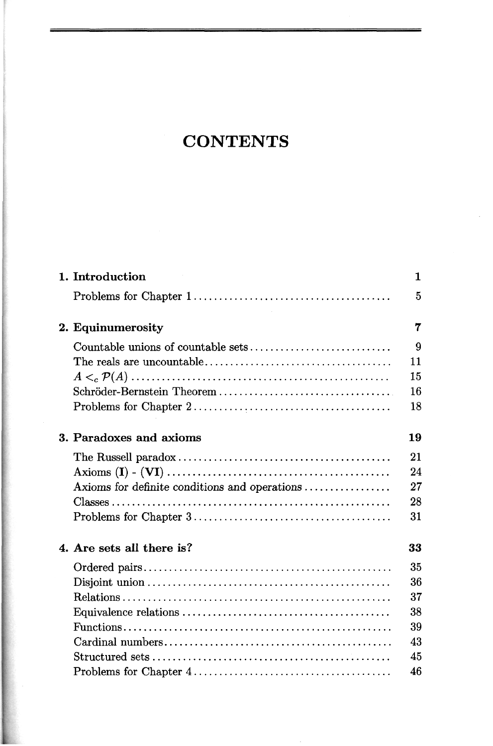## **CONTENTS**

| 1. Introduction                                                                                                          | 1  |
|--------------------------------------------------------------------------------------------------------------------------|----|
|                                                                                                                          | 5  |
| 2. Equinumerosity                                                                                                        | 7  |
|                                                                                                                          | 9  |
|                                                                                                                          | 11 |
| $A <_{c} \mathcal{P}(A) \dots \dots \dots \dots \dots \dots \dots \dots \dots \dots \dots \dots \dots \dots \dots \dots$ | 15 |
|                                                                                                                          | 16 |
|                                                                                                                          | 18 |
| 3. Paradoxes and axioms                                                                                                  | 19 |
|                                                                                                                          | 21 |
|                                                                                                                          | 24 |
| Axioms for definite conditions and operations                                                                            | 27 |
|                                                                                                                          | 28 |
|                                                                                                                          | 31 |
| 4. Are sets all there is?                                                                                                | 33 |
|                                                                                                                          | 35 |
|                                                                                                                          | 36 |
|                                                                                                                          | 37 |
|                                                                                                                          | 38 |
|                                                                                                                          | 39 |
|                                                                                                                          | 43 |
|                                                                                                                          | 45 |
|                                                                                                                          | 46 |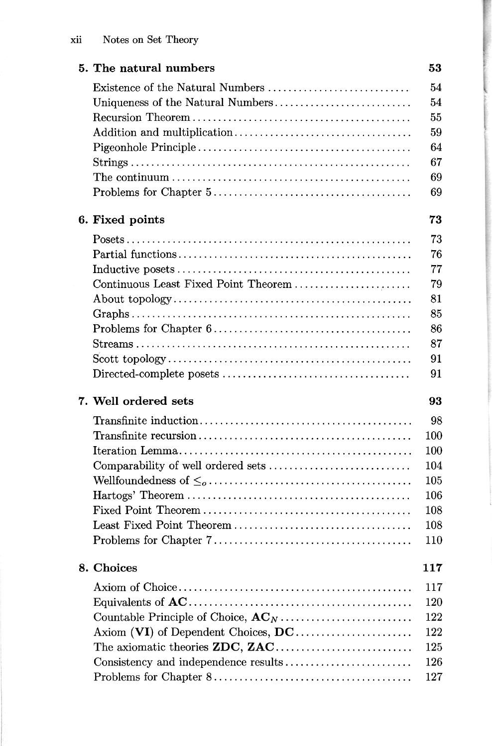| 5. The natural numbers               | 53  |
|--------------------------------------|-----|
| Existence of the Natural Numbers     | 54  |
|                                      | 54  |
|                                      | 55  |
|                                      | 59  |
|                                      | 64  |
|                                      | 67  |
|                                      | 69  |
|                                      | 69  |
| 6. Fixed points                      | 73  |
|                                      | 73  |
|                                      | 76  |
|                                      | 77  |
| Continuous Least Fixed Point Theorem | 79  |
|                                      | 81  |
|                                      | 85  |
|                                      | 86  |
|                                      | 87  |
|                                      | 91  |
|                                      | 91  |
| 7. Well ordered sets                 | 93  |
|                                      | 98  |
|                                      | 100 |
|                                      | 100 |
|                                      | 104 |
|                                      | 105 |
|                                      | 106 |
|                                      | 108 |
|                                      | 108 |
|                                      | 110 |
| 8. Choices                           | 117 |
|                                      | 117 |
|                                      | 120 |
|                                      | 122 |
| Axiom (VI) of Dependent Choices, DC  | 122 |
|                                      | 125 |
| Consistency and independence results | 126 |
|                                      | 127 |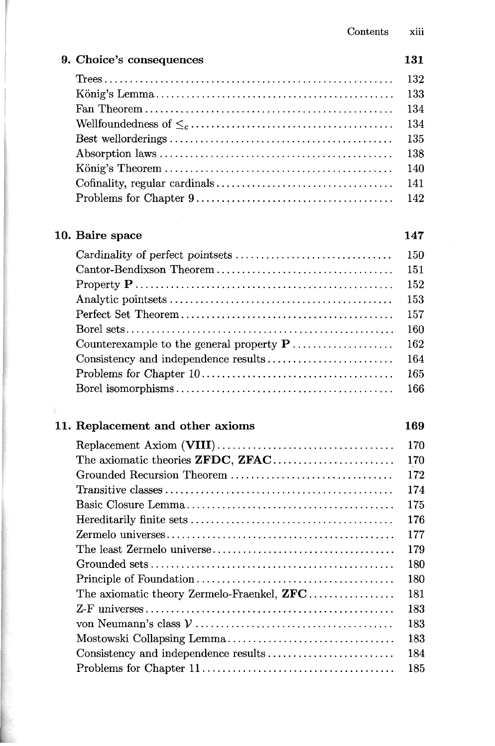| 9. Choice's consequences                           | 131 |
|----------------------------------------------------|-----|
|                                                    | 132 |
|                                                    | 133 |
|                                                    | 134 |
|                                                    | 134 |
|                                                    | 135 |
|                                                    | 138 |
|                                                    | 140 |
|                                                    | 141 |
|                                                    | 142 |
| 10. Baire space                                    | 147 |
|                                                    | 150 |
|                                                    | 151 |
|                                                    | 152 |
|                                                    | 153 |
|                                                    | 157 |
|                                                    | 160 |
|                                                    | 162 |
|                                                    | 164 |
|                                                    | 165 |
|                                                    | 166 |
|                                                    |     |
| 11. Replacement and other axioms                   | 169 |
|                                                    | 170 |
| The axiomatic theories ZFDC, ZFAC                  | 170 |
| Grounded Recursion Theorem                         | 172 |
|                                                    | 174 |
|                                                    | 175 |
|                                                    | 176 |
|                                                    | 177 |
|                                                    | 179 |
| Grounded sets                                      | 180 |
|                                                    | 180 |
| The axiomatic theory Zermelo-Fraenkel, ${\bf ZFC}$ | 181 |
|                                                    | 183 |
|                                                    | 183 |
|                                                    | 183 |
|                                                    | 184 |
|                                                    | 185 |